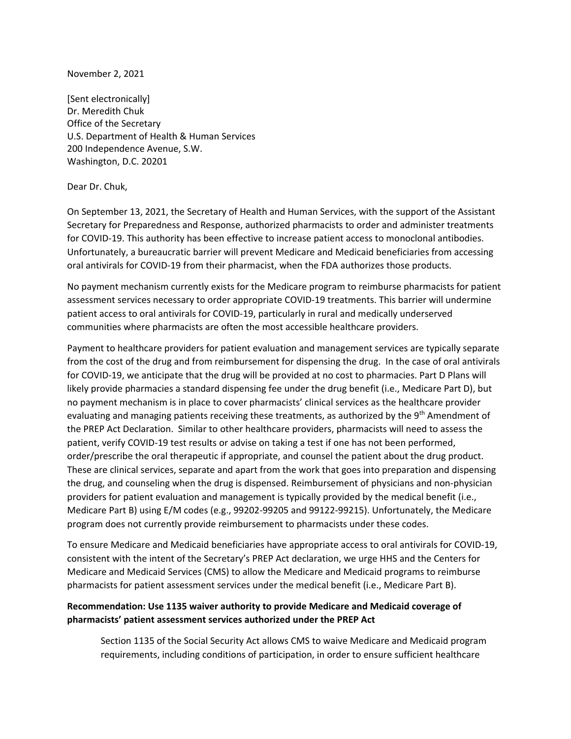November 2, 2021

[Sent electronically] Dr. Meredith Chuk Office of the Secretary U.S. Department of Health & Human Services 200 Independence Avenue, S.W. Washington, D.C. 20201

Dear Dr. Chuk,

On September 13, 2021, the Secretary of Health and Human Services, with the support of the Assistant Secretary for Preparedness and Response, authorized pharmacists to order and administer treatments for COVID‐19. This authority has been effective to increase patient access to monoclonal antibodies. Unfortunately, a bureaucratic barrier will prevent Medicare and Medicaid beneficiaries from accessing oral antivirals for COVID‐19 from their pharmacist, when the FDA authorizes those products.

No payment mechanism currently exists for the Medicare program to reimburse pharmacists for patient assessment services necessary to order appropriate COVID‐19 treatments. This barrier will undermine patient access to oral antivirals for COVID‐19, particularly in rural and medically underserved communities where pharmacists are often the most accessible healthcare providers.

Payment to healthcare providers for patient evaluation and management services are typically separate from the cost of the drug and from reimbursement for dispensing the drug. In the case of oral antivirals for COVID‐19, we anticipate that the drug will be provided at no cost to pharmacies. Part D Plans will likely provide pharmacies a standard dispensing fee under the drug benefit (i.e., Medicare Part D), but no payment mechanism is in place to cover pharmacists' clinical services as the healthcare provider evaluating and managing patients receiving these treatments, as authorized by the 9<sup>th</sup> Amendment of the PREP Act Declaration. Similar to other healthcare providers, pharmacists will need to assess the patient, verify COVID‐19 test results or advise on taking a test if one has not been performed, order/prescribe the oral therapeutic if appropriate, and counsel the patient about the drug product. These are clinical services, separate and apart from the work that goes into preparation and dispensing the drug, and counseling when the drug is dispensed. Reimbursement of physicians and non‐physician providers for patient evaluation and management is typically provided by the medical benefit (i.e., Medicare Part B) using E/M codes (e.g., 99202‐99205 and 99122‐99215). Unfortunately, the Medicare program does not currently provide reimbursement to pharmacists under these codes.

To ensure Medicare and Medicaid beneficiaries have appropriate access to oral antivirals for COVID‐19, consistent with the intent of the Secretary's PREP Act declaration, we urge HHS and the Centers for Medicare and Medicaid Services (CMS) to allow the Medicare and Medicaid programs to reimburse pharmacists for patient assessment services under the medical benefit (i.e., Medicare Part B).

## **Recommendation: Use 1135 waiver authority to provide Medicare and Medicaid coverage of pharmacists' patient assessment services authorized under the PREP Act**

Section 1135 of the Social Security Act allows CMS to waive Medicare and Medicaid program requirements, including conditions of participation, in order to ensure sufficient healthcare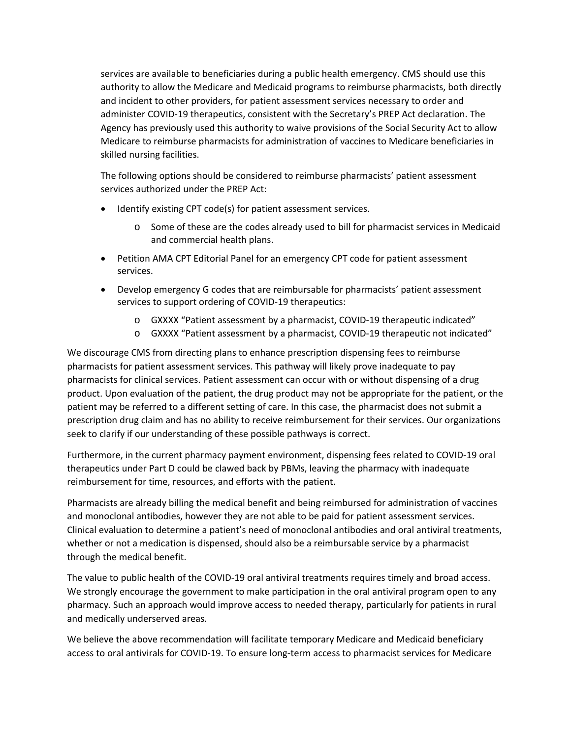services are available to beneficiaries during a public health emergency. CMS should use this authority to allow the Medicare and Medicaid programs to reimburse pharmacists, both directly and incident to other providers, for patient assessment services necessary to order and administer COVID‐19 therapeutics, consistent with the Secretary's PREP Act declaration. The Agency has previously used this authority to waive provisions of the Social Security Act to allow Medicare to reimburse pharmacists for administration of vaccines to Medicare beneficiaries in skilled nursing facilities.

The following options should be considered to reimburse pharmacists' patient assessment services authorized under the PREP Act:

- Identify existing CPT code(s) for patient assessment services.
	- o Some of these are the codes already used to bill for pharmacist services in Medicaid and commercial health plans.
- Petition AMA CPT Editorial Panel for an emergency CPT code for patient assessment services.
- Develop emergency G codes that are reimbursable for pharmacists' patient assessment services to support ordering of COVID-19 therapeutics:
	- o GXXXX "Patient assessment by a pharmacist, COVID‐19 therapeutic indicated"
	- o GXXXX "Patient assessment by a pharmacist, COVID‐19 therapeutic not indicated"

We discourage CMS from directing plans to enhance prescription dispensing fees to reimburse pharmacists for patient assessment services. This pathway will likely prove inadequate to pay pharmacists for clinical services. Patient assessment can occur with or without dispensing of a drug product. Upon evaluation of the patient, the drug product may not be appropriate for the patient, or the patient may be referred to a different setting of care. In this case, the pharmacist does not submit a prescription drug claim and has no ability to receive reimbursement for their services. Our organizations seek to clarify if our understanding of these possible pathways is correct.

Furthermore, in the current pharmacy payment environment, dispensing fees related to COVID‐19 oral therapeutics under Part D could be clawed back by PBMs, leaving the pharmacy with inadequate reimbursement for time, resources, and efforts with the patient.

Pharmacists are already billing the medical benefit and being reimbursed for administration of vaccines and monoclonal antibodies, however they are not able to be paid for patient assessment services. Clinical evaluation to determine a patient's need of monoclonal antibodies and oral antiviral treatments, whether or not a medication is dispensed, should also be a reimbursable service by a pharmacist through the medical benefit.

The value to public health of the COVID‐19 oral antiviral treatments requires timely and broad access. We strongly encourage the government to make participation in the oral antiviral program open to any pharmacy. Such an approach would improve access to needed therapy, particularly for patients in rural and medically underserved areas.

We believe the above recommendation will facilitate temporary Medicare and Medicaid beneficiary access to oral antivirals for COVID‐19. To ensure long‐term access to pharmacist services for Medicare